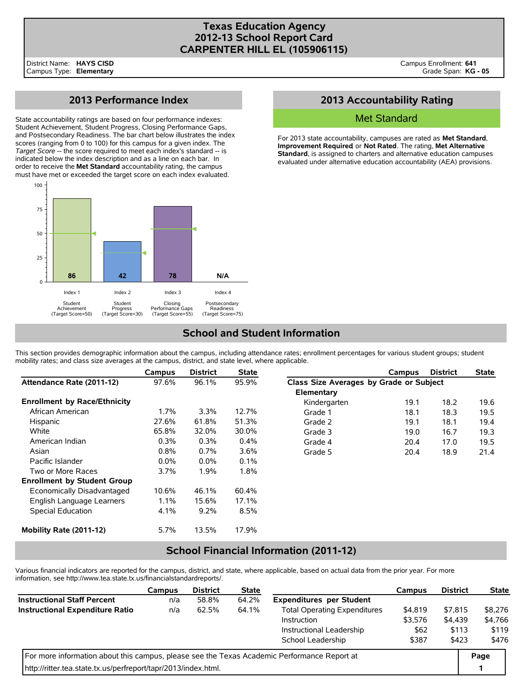### **Texas Education Agency 2012-13 School Report Card CARPENTER HILL EL (105906115)**

# **2013 Performance Index**

State accountability ratings are based on four performance indexes: Student Achievement, Student Progress, Closing Performance Gaps, and Postsecondary Readiness. The bar chart below illustrates the index scores (ranging from 0 to 100) for this campus for a given index. The *Target Score* -- the score required to meet each index's standard -- is indicated below the index description and as a line on each bar. In order to receive the **Met Standard** accountability rating, the campus must have met or exceeded the target score on each index evaluated.



## **2013 Accountability Rating**

### Met Standard

For 2013 state accountability, campuses are rated as **Met Standard**, **Improvement Required**, or **Not Rated**. The rating, **Met Alternative Standard**, is assigned to charters and alternative education campuses evaluated under alternative education accountability (AEA) provisions.

# **School and Student Information**

This section provides demographic information about the campus, including attendance rates; enrollment percentages for various student groups; student mobility rates; and class size averages at the campus, district, and state level, where applicable.

|                                     | Campus  | <b>District</b> | <b>State</b> |                                         | Campus | <b>District</b> | <b>State</b> |  |
|-------------------------------------|---------|-----------------|--------------|-----------------------------------------|--------|-----------------|--------------|--|
| Attendance Rate (2011-12)           | 97.6%   | 96.1%           | 95.9%        | Class Size Averages by Grade or Subject |        |                 |              |  |
|                                     |         |                 |              | Elementary                              |        |                 |              |  |
| <b>Enrollment by Race/Ethnicity</b> |         |                 |              | Kindergarten                            | 19.1   | 18.2            | 19.6         |  |
| African American                    | $1.7\%$ | $3.3\%$         | 12.7%        | Grade 1                                 | 18.1   | 18.3            | 19.5         |  |
| Hispanic                            | 27.6%   | 61.8%           | 51.3%        | Grade 2                                 | 19.1   | 18.1            | 19.4         |  |
| White                               | 65.8%   | 32.0%           | 30.0%        | Grade 3                                 | 19.0   | 16.7            | 19.3         |  |
| American Indian                     | $0.3\%$ | 0.3%            | $0.4\%$      | Grade 4                                 | 20.4   | 17.0            | 19.5         |  |
| Asian                               | 0.8%    | 0.7%            | 3.6%         | Grade 5                                 | 20.4   | 18.9            | 21.4         |  |
| Pacific Islander                    | $0.0\%$ | $0.0\%$         | $0.1\%$      |                                         |        |                 |              |  |
| Two or More Races                   | 3.7%    | 1.9%            | 1.8%         |                                         |        |                 |              |  |
| <b>Enrollment by Student Group</b>  |         |                 |              |                                         |        |                 |              |  |
| Economically Disadvantaged          | 10.6%   | 46.1%           | 60.4%        |                                         |        |                 |              |  |
| English Language Learners           | 1.1%    | 15.6%           | 17.1%        |                                         |        |                 |              |  |
| <b>Special Education</b>            | 4.1%    | 9.2%            | 8.5%         |                                         |        |                 |              |  |
| Mobility Rate (2011-12)             | 5.7%    | 13.5%           | 17.9%        |                                         |        |                 |              |  |

## **School Financial Information (2011-12)**

Various financial indicators are reported for the campus, district, and state, where applicable, based on actual data from the prior year. For more information, see http://www.tea.state.tx.us/financialstandardreports/.

|                                                                                             | Campus | <b>District</b> | <b>State</b> |                                     | Campus  | <b>District</b> | <b>State</b> |
|---------------------------------------------------------------------------------------------|--------|-----------------|--------------|-------------------------------------|---------|-----------------|--------------|
| <b>Instructional Staff Percent</b>                                                          | n/a    | 58.8%           | 64.2%        | <b>Expenditures per Student</b>     |         |                 |              |
| <b>Instructional Expenditure Ratio</b>                                                      | n/a    | 62.5%           | 64.1%        | <b>Total Operating Expenditures</b> | \$4,819 | \$7.815         | \$8,276      |
|                                                                                             |        |                 |              | Instruction                         | \$3,576 | \$4,439         | \$4,766      |
|                                                                                             |        |                 |              | Instructional Leadership            | \$62    | \$113           | \$119        |
|                                                                                             |        |                 |              | School Leadership                   | \$387   | \$423           | \$476        |
| For more information about this campus, please see the Texas Academic Performance Report at |        |                 |              |                                     |         |                 |              |
| http://ritter.tea.state.tx.us/perfreport/tapr/2013/index.html.                              |        |                 |              |                                     |         |                 |              |